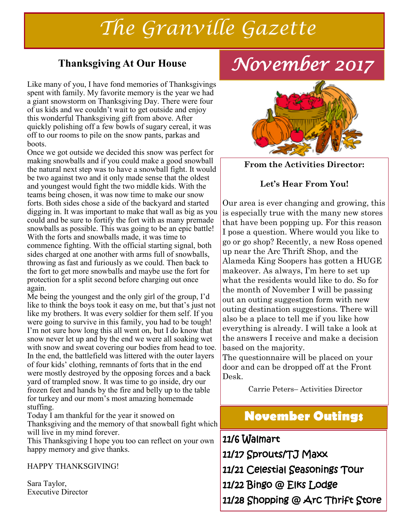# *The Granville Gazette*

#### **Thanksgiving At Our House**

Like many of you, I have fond memories of Thanksgivings spent with family. My favorite memory is the year we had a giant snowstorm on Thanksgiving Day. There were four of us kids and we couldn't wait to get outside and enjoy this wonderful Thanksgiving gift from above. After quickly polishing off a few bowls of sugary cereal, it was off to our rooms to pile on the snow pants, parkas and boots.

Once we got outside we decided this snow was perfect for making snowballs and if you could make a good snowball the natural next step was to have a snowball fight. It would be two against two and it only made sense that the oldest and youngest would fight the two middle kids. With the teams being chosen, it was now time to make our snow forts. Both sides chose a side of the backyard and started digging in. It was important to make that wall as big as you could and be sure to fortify the fort with as many premade snowballs as possible. This was going to be an epic battle! With the forts and snowballs made, it was time to commence fighting. With the official starting signal, both sides charged at one another with arms full of snowballs, throwing as fast and furiously as we could. Then back to the fort to get more snowballs and maybe use the fort for protection for a split second before charging out once again.

Me being the youngest and the only girl of the group, I'd like to think the boys took it easy on me, but that's just not like my brothers. It was every soldier for them self. If you were going to survive in this family, you had to be tough! I'm not sure how long this all went on, but I do know that snow never let up and by the end we were all soaking wet with snow and sweat covering our bodies from head to toe. In the end, the battlefield was littered with the outer layers of four kids' clothing, remnants of forts that in the end were mostly destroyed by the opposing forces and a back yard of trampled snow. It was time to go inside, dry our frozen feet and hands by the fire and belly up to the table for turkey and our mom's most amazing homemade stuffing.

Today I am thankful for the year it snowed on Thanksgiving and the memory of that snowball fight which will live in my mind forever.

This Thanksgiving I hope you too can reflect on your own happy memory and give thanks.

HAPPY THANKSGIVING!

Sara Taylor, Executive Director

# *November 2017*



**From the Activities Director:**

#### **Let's Hear From You!**

Our area is ever changing and growing, this is especially true with the many new stores that have been popping up. For this reason I pose a question. Where would you like to go or go shop? Recently, a new Ross opened up near the Arc Thrift Shop, and the Alameda King Soopers has gotten a HUGE makeover. As always, I'm here to set up what the residents would like to do. So for the month of November I will be passing out an outing suggestion form with new outing destination suggestions. There will also be a place to tell me if you like how everything is already. I will take a look at the answers I receive and make a decision based on the majority.

The questionnaire will be placed on your door and can be dropped off at the Front Desk.

Carrie Peters– Activities Director

### **November Outings**

11/6 Walmart

11/17 Sprouts/TJ Maxx

11/21 Celestial Seasonings Tour

11/22 Bingo @ Elks Lodge

11/28 Shopping @ Arc Thrift Store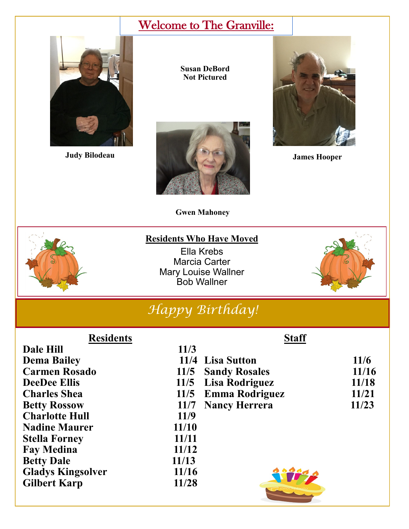# Welcome to The Granville:



**Judy Bilodeau**

**Susan DeBord Not Pictured**





**James Hooper**

**Staff**

**Gwen Mahoney**

#### **Residents Who Have Moved**

Ella Krebs Marcia Carter Mary Louise Wallner Bob Wallner



# *Happy Birthday!*

#### **Residents**

| 11/3  |                                                                                                       |
|-------|-------------------------------------------------------------------------------------------------------|
|       | 11/6                                                                                                  |
|       | 11/16                                                                                                 |
|       | 11/18                                                                                                 |
|       | 11/21                                                                                                 |
| 11/7  | 11/23                                                                                                 |
| 11/9  |                                                                                                       |
| 11/10 |                                                                                                       |
| 11/11 |                                                                                                       |
| 11/12 |                                                                                                       |
| 11/13 |                                                                                                       |
| 11/16 |                                                                                                       |
| 11/28 |                                                                                                       |
|       | 11/4 Lisa Sutton<br>11/5 Sandy Rosales<br>11/5 Lisa Rodriguez<br>11/5 Emma Rodriguez<br>Nancy Herrera |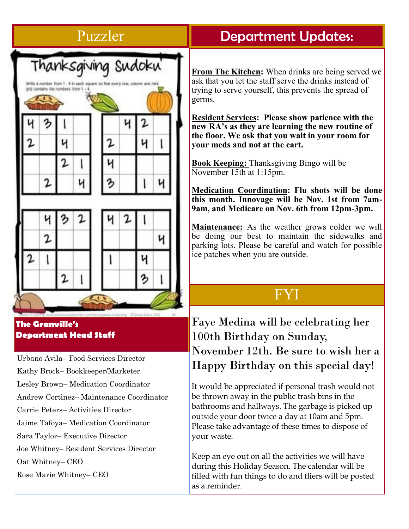## Puzzler



#### **The Granville's Department Head Staff**

Urbano Avila– Food Services Director Kathy Brock– Bookkeeper/Marketer Lesley Brown– Medication Coordinator Andrew Cortinez– Maintenance Coordinator Carrie Peters– Activities Director Jaime Tafoya– Medication Coordinator Sara Taylor– Executive Director Joe Whitney– Resident Services Director Oat Whitney– CEO Rose Marie Whitney– CEO

### Department Updates:

**From The Kitchen:** When drinks are being served we ask that you let the staff serve the drinks instead of trying to serve yourself, this prevents the spread of germs.

**Resident Services: Please show patience with the new RA's as they are learning the new routine of the floor. We ask that you wait in your room for your meds and not at the cart.** 

**Book Keeping:** Thanksgiving Bingo will be November 15th at 1:15pm.

**Medication Coordination: Flu shots will be done this month. Innovage will be Nov. 1st from 7am-9am, and Medicare on Nov. 6th from 12pm-3pm.**

**Maintenance:** As the weather grows colder we will be doing our best to maintain the sidewalks and parking lots. Please be careful and watch for possible ice patches when you are outside.

## FYI

Faye Medina will be celebrating her 100th Birthday on Sunday, November 12th. Be sure to wish her a Happy Birthday on this special day!

It would be appreciated if personal trash would not be thrown away in the public trash bins in the bathrooms and hallways. The garbage is picked up outside your door twice a day at 10am and 5pm. Please take advantage of these times to dispose of your waste.

Keep an eye out on all the activities we will have during this Holiday Season. The calendar will be filled with fun things to do and fliers will be posted as a reminder.